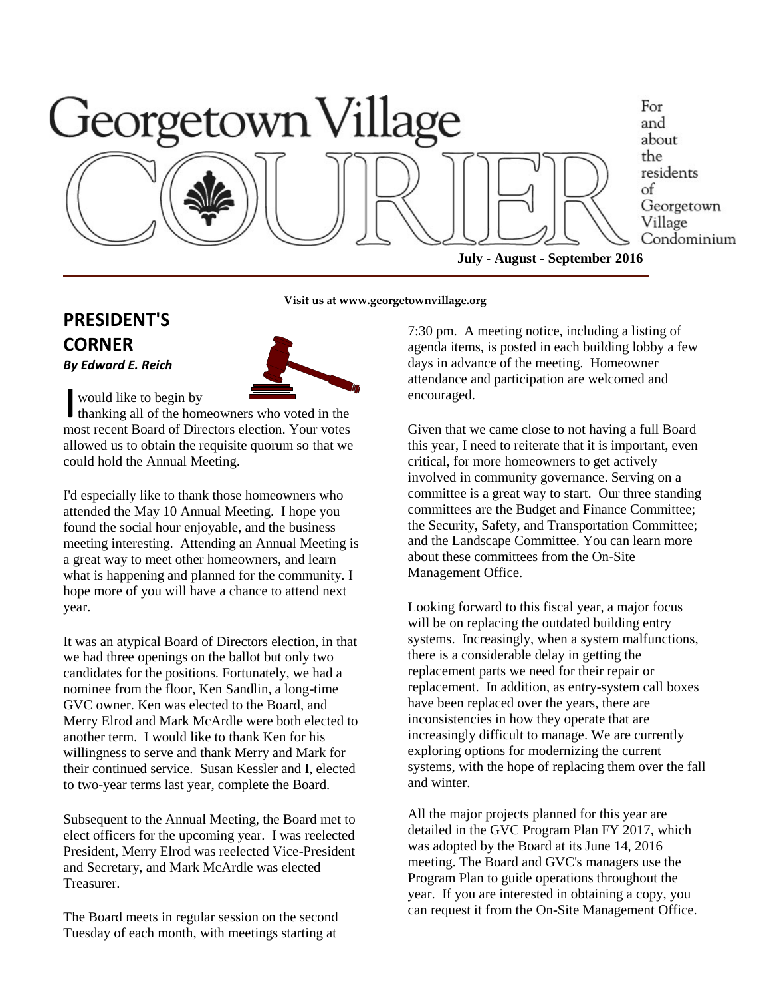

**Visit us at www.georgetownvillage.org**

**PRESIDENT'S CORNER**

*By Edward E. Reich*



would like to begin by

thanking all of the homeowners who voted in the most recent Board of Directors election. Your votes allowed us to obtain the requisite quorum so that we could hold the Annual Meeting.  $\prod_{\text{m} \in \mathbb{Z}}$ 

I'd especially like to thank those homeowners who attended the May 10 Annual Meeting. I hope you found the social hour enjoyable, and the business meeting interesting. Attending an Annual Meeting is a great way to meet other homeowners, and learn what is happening and planned for the community. I hope more of you will have a chance to attend next year.

It was an atypical Board of Directors election, in that we had three openings on the ballot but only two candidates for the positions. Fortunately, we had a nominee from the floor, Ken Sandlin, a long-time GVC owner. Ken was elected to the Board, and Merry Elrod and Mark McArdle were both elected to another term. I would like to thank Ken for his willingness to serve and thank Merry and Mark for their continued service. Susan Kessler and I, elected to two-year terms last year, complete the Board.

Subsequent to the Annual Meeting, the Board met to elect officers for the upcoming year. I was reelected President, Merry Elrod was reelected Vice-President and Secretary, and Mark McArdle was elected Treasurer.

The Board meets in regular session on the second Tuesday of each month, with meetings starting at

7:30 pm. A meeting notice, including a listing of agenda items, is posted in each building lobby a few days in advance of the meeting. Homeowner attendance and participation are welcomed and encouraged.

Given that we came close to not having a full Board this year, I need to reiterate that it is important, even critical, for more homeowners to get actively involved in community governance. Serving on a committee is a great way to start. Our three standing committees are the Budget and Finance Committee; the Security, Safety, and Transportation Committee; and the Landscape Committee. You can learn more about these committees from the On-Site Management Office.

Looking forward to this fiscal year, a major focus will be on replacing the outdated building entry systems. Increasingly, when a system malfunctions, there is a considerable delay in getting the replacement parts we need for their repair or replacement. In addition, as entry-system call boxes have been replaced over the years, there are inconsistencies in how they operate that are increasingly difficult to manage. We are currently exploring options for modernizing the current systems, with the hope of replacing them over the fall and winter.

All the major projects planned for this year are detailed in the GVC Program Plan FY 2017, which was adopted by the Board at its June 14, 2016 meeting. The Board and GVC's managers use the Program Plan to guide operations throughout the year. If you are interested in obtaining a copy, you can request it from the On-Site Management Office.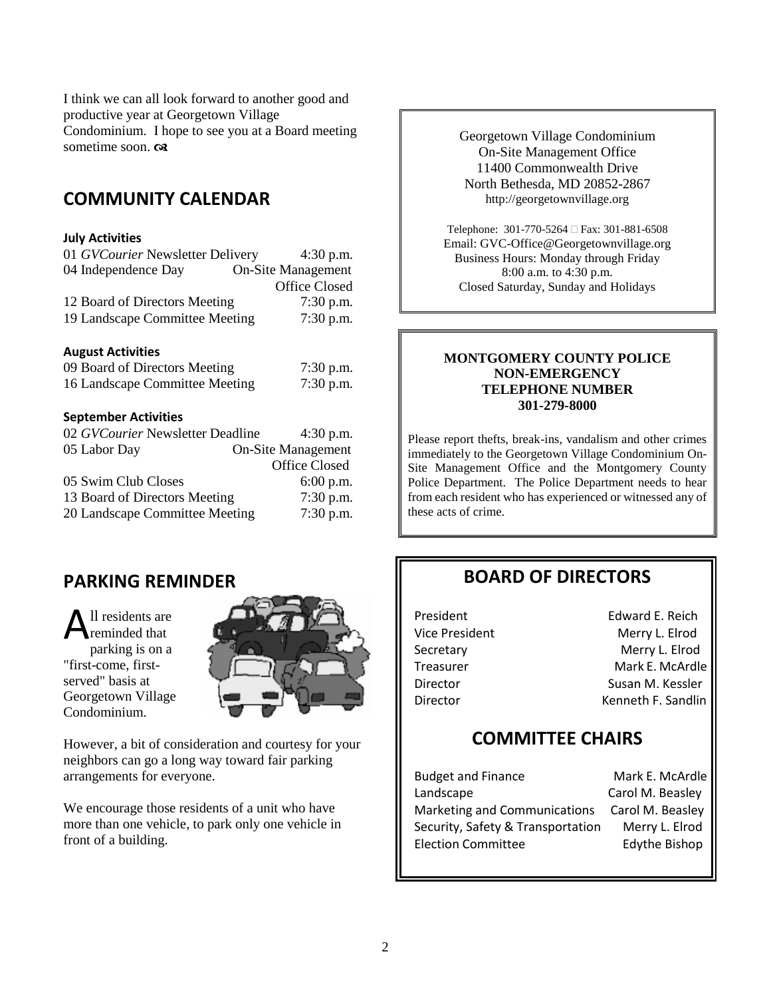I think we can all look forward to another good and productive year at Georgetown Village Condominium. I hope to see you at a Board meeting sometime soon.  $\infty$ 

## **COMMUNITY CALENDAR**

#### **July Activities**

| 01 GVCourier Newsletter Delivery | $4:30$ p.m.               |
|----------------------------------|---------------------------|
| 04 Independence Day              | <b>On-Site Management</b> |
|                                  | Office Closed             |
| 12 Board of Directors Meeting    | $7:30$ p.m.               |
| 19 Landscape Committee Meeting   | $7:30$ p.m.               |

#### **August Activities**

| 09 Board of Directors Meeting  | $7:30$ p.m. |
|--------------------------------|-------------|
| 16 Landscape Committee Meeting | $7:30$ p.m. |

#### **September Activities**

| 02 GVCourier Newsletter Deadline | $4:30$ p.m.               |
|----------------------------------|---------------------------|
| 05 Labor Day                     | <b>On-Site Management</b> |
|                                  | Office Closed             |
| 05 Swim Club Closes              | 6:00 p.m.                 |
| 13 Board of Directors Meeting    | 7:30 p.m.                 |
| 20 Landscape Committee Meeting   | 7:30 p.m.                 |

### **PARKING REMINDER**

ll residents are reminded that parking is on a "first-come, firstserved" basis at Georgetown Village Condominium. A



However, a bit of consideration and courtesy for your neighbors can go a long way toward fair parking arrangements for everyone.

We encourage those residents of a unit who have more than one vehicle, to park only one vehicle in front of a building.

Georgetown Village Condominium On-Site Management Office 11400 Commonwealth Drive North Bethesda, MD 20852-2867 http://georgetownvillage.org

Telephone: 301-770-5264 Fax: 301-881-6508 Email: [GVC-Office@Georgetownvillage.org](mailto:GVCondo@Starpower.com) Business Hours: Monday through Friday 8:00 a.m. to 4:30 p.m. Closed Saturday, Sunday and Holidays

#### **MONTGOMERY COUNTY POLICE NON-EMERGENCY TELEPHONE NUMBER 301-279-8000**

Please report thefts, break-ins, vandalism and other crimes immediately to the Georgetown Village Condominium On-Site Management Office and the Montgomery County Police Department. The Police Department needs to hear from each resident who has experienced or witnessed any of these acts of crime.

# **BOARD OF DIRECTORS**

President Edward E. Reich Vice President Merry L. Elrod Secretary Merry L. Elrod Treasurer Mark E. McArdle Director Susan M. Kessler Director **Kenneth F. Sandlin** 

## **COMMITTEE CHAIRS**

Budget and Finance Mark E. McArdle Landscape Carol M. Beasley Marketing and Communications Carol M. Beasley Security, Safety & Transportation Merry L. Elrod Election Committee Edythe Bishop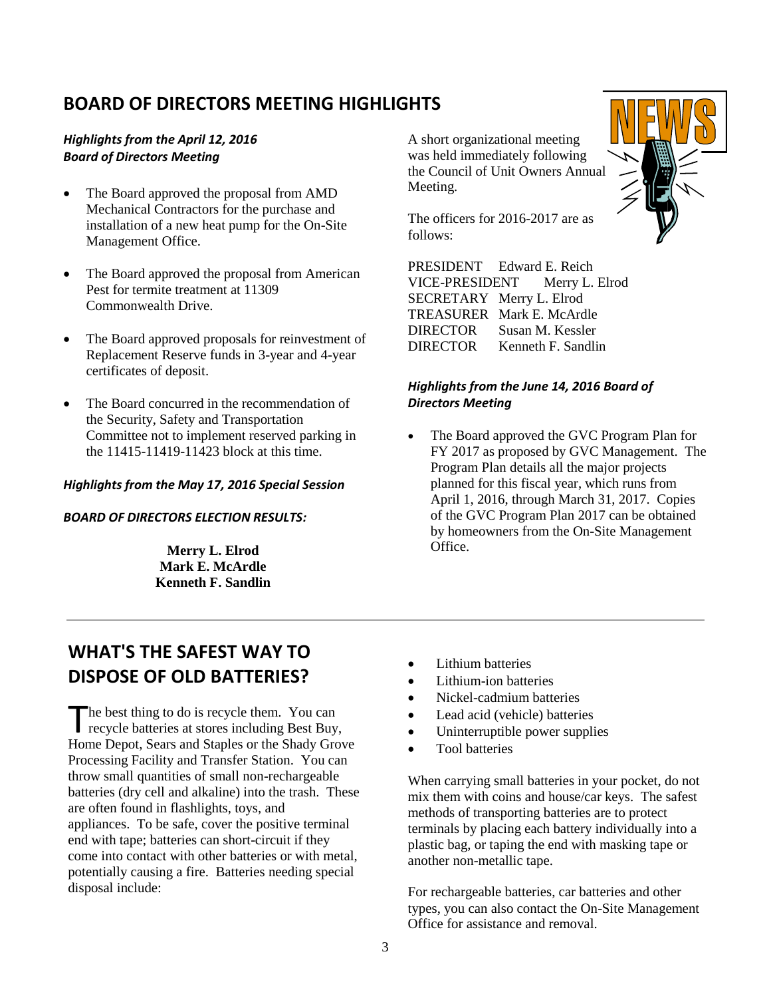# **BOARD OF DIRECTORS MEETING HIGHLIGHTS**

#### *Highlights from the April 12, 2016 Board of Directors Meeting*

- The Board approved the proposal from AMD Mechanical Contractors for the purchase and installation of a new heat pump for the On-Site Management Office.
- The Board approved the proposal from American Pest for termite treatment at 11309 Commonwealth Drive.
- The Board approved proposals for reinvestment of Replacement Reserve funds in 3-year and 4-year certificates of deposit.
- The Board concurred in the recommendation of the Security, Safety and Transportation Committee not to implement reserved parking in the 11415-11419-11423 block at this time.

#### *Highlights from the May 17, 2016 Special Session*

*BOARD OF DIRECTORS ELECTION RESULTS:*

**Merry L. Elrod Mark E. McArdle Kenneth F. Sandlin** A short organizational meeting was held immediately following the Council of Unit Owners Annual Meeting.

The officers for 2016-2017 are as follows:

PRESIDENT Edward E. Reich VICE-PRESIDENT Merry L. Elrod SECRETARY Merry L. Elrod TREASURER Mark E. McArdle DIRECTOR Susan M. Kessler DIRECTOR Kenneth F. Sandlin

#### *Highlights from the June 14, 2016 Board of Directors Meeting*

 The Board approved the GVC Program Plan for FY 2017 as proposed by GVC Management. The Program Plan details all the major projects planned for this fiscal year, which runs from April 1, 2016, through March 31, 2017. Copies of the GVC Program Plan 2017 can be obtained by homeowners from the On-Site Management Office.

# **WHAT'S THE SAFEST WAY TO DISPOSE OF OLD BATTERIES?**

he best thing to do is recycle them. You can The best thing to do is recycle them. You can<br>recycle batteries at stores including Best Buy,<br>Here Danat, Seam and Stanles and a Shady Guas Home Depot, Sears and Staples or the Shady Grove Processing Facility and Transfer Station. You can throw small quantities of small non-rechargeable batteries (dry cell and alkaline) into the trash. These are often found in flashlights, toys, and appliances. To be safe, cover the positive terminal end with tape; batteries can short-circuit if they come into contact with other batteries or with metal, potentially causing a fire. Batteries needing special disposal include:

- Lithium batteries
- Lithium-ion batteries
- Nickel-cadmium batteries
- Lead acid (vehicle) batteries
- Uninterruptible power supplies
- Tool batteries

When carrying small batteries in your pocket, do not mix them with coins and house/car keys. The safest methods of transporting batteries are to protect terminals by placing each battery individually into a plastic bag, or taping the end with masking tape or another non-metallic tape.

For rechargeable batteries, car batteries and other types, you can also contact the On-Site Management Office for assistance and removal.

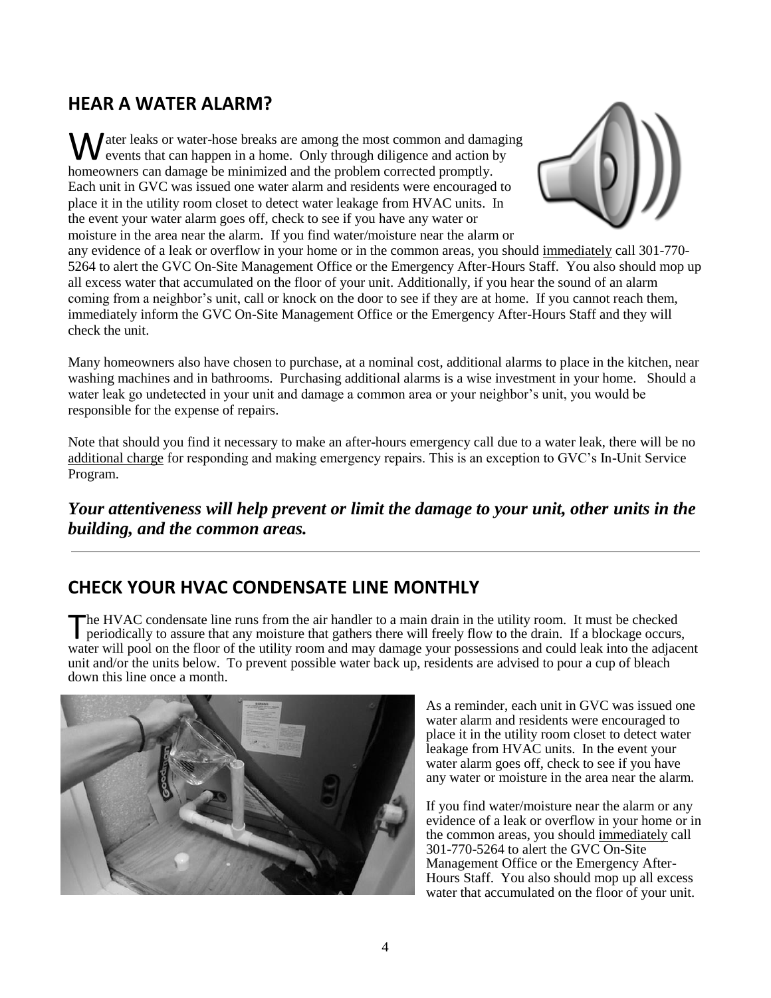# **HEAR A WATER ALARM?**

Water leaks or water-hose breaks are among the most common and damaging<br>events that can happen in a home. Only through diligence and action by<br>happensure are demand by minimized and the maklam across of amountly events that can happen in a home. Only through diligence and action by homeowners can damage be minimized and the problem corrected promptly. Each unit in GVC was issued one water alarm and residents were encouraged to place it in the utility room closet to detect water leakage from HVAC units. In the event your water alarm goes off, check to see if you have any water or moisture in the area near the alarm. If you find water/moisture near the alarm or



any evidence of a leak or overflow in your home or in the common areas, you should immediately call 301-770- 5264 to alert the GVC On-Site Management Office or the Emergency After-Hours Staff. You also should mop up all excess water that accumulated on the floor of your unit. Additionally, if you hear the sound of an alarm coming from a neighbor's unit, call or knock on the door to see if they are at home. If you cannot reach them, immediately inform the GVC On-Site Management Office or the Emergency After-Hours Staff and they will check the unit.

Many homeowners also have chosen to purchase, at a nominal cost, additional alarms to place in the kitchen, near washing machines and in bathrooms. Purchasing additional alarms is a wise investment in your home. Should a water leak go undetected in your unit and damage a common area or your neighbor's unit, you would be responsible for the expense of repairs.

Note that should you find it necessary to make an after-hours emergency call due to a water leak, there will be no additional charge for responding and making emergency repairs. This is an exception to GVC's In-Unit Service Program.

### *Your attentiveness will help prevent or limit the damage to your unit, other units in the building, and the common areas.*

# **CHECK YOUR HVAC CONDENSATE LINE MONTHLY**

The HVAC condensate line runs from the air handler to a main drain in the utility room. It must be checked<br>periodically to assure that any moisture that gathers there will freely flow to the drain. If a blockage occurs<br>wat periodically to assure that any moisture that gathers there will freely flow to the drain. If a blockage occurs, water will pool on the floor of the utility room and may damage your possessions and could leak into the adjacent unit and/or the units below. To prevent possible water back up, residents are advised to pour a cup of bleach down this line once a month.



As a reminder, each unit in GVC was issued one water alarm and residents were encouraged to place it in the utility room closet to detect water leakage from HVAC units. In the event your water alarm goes off, check to see if you have any water or moisture in the area near the alarm.

If you find water/moisture near the alarm or any evidence of a leak or overflow in your home or in the common areas, you should immediately call 301-770-5264 to alert the GVC On-Site Management Office or the Emergency After-Hours Staff. You also should mop up all excess water that accumulated on the floor of your unit.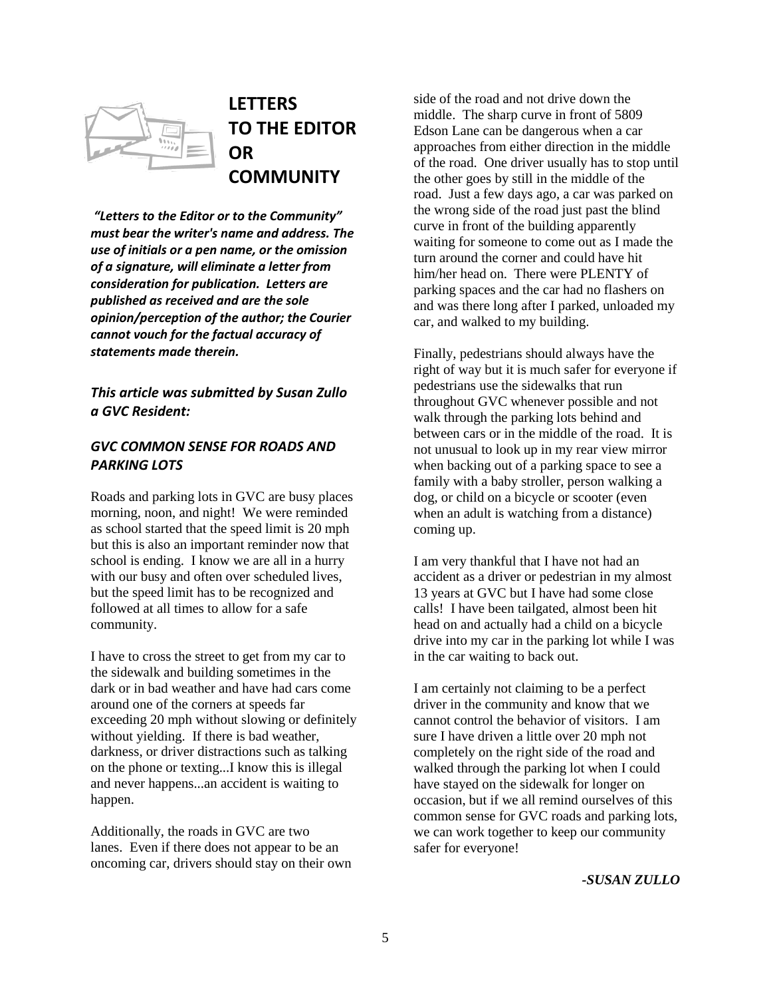

# **LETTERS TO THE EDITOR OR COMMUNITY**

*"Letters to the Editor or to the Community" must bear the writer's name and address. The use of initials or a pen name, or the omission of a signature, will eliminate a letter from consideration for publication. Letters are published as received and are the sole opinion/perception of the author; the Courier cannot vouch for the factual accuracy of statements made therein.*

*This article was submitted by Susan Zullo a GVC Resident:*

#### *GVC COMMON SENSE FOR ROADS AND PARKING LOTS*

Roads and parking lots in GVC are busy places morning, noon, and night! We were reminded as school started that the speed limit is 20 mph but this is also an important reminder now that school is ending. I know we are all in a hurry with our busy and often over scheduled lives, but the speed limit has to be recognized and followed at all times to allow for a safe community.

I have to cross the street to get from my car to the sidewalk and building sometimes in the dark or in bad weather and have had cars come around one of the corners at speeds far exceeding 20 mph without slowing or definitely without yielding. If there is bad weather, darkness, or driver distractions such as talking on the phone or texting...I know this is illegal and never happens...an accident is waiting to happen.

Additionally, the roads in GVC are two lanes. Even if there does not appear to be an oncoming car, drivers should stay on their own side of the road and not drive down the middle. The sharp curve in front of 5809 Edson Lane can be dangerous when a car approaches from either direction in the middle of the road. One driver usually has to stop until the other goes by still in the middle of the road. Just a few days ago, a car was parked on the wrong side of the road just past the blind curve in front of the building apparently waiting for someone to come out as I made the turn around the corner and could have hit him/her head on. There were PLENTY of parking spaces and the car had no flashers on and was there long after I parked, unloaded my car, and walked to my building.

Finally, pedestrians should always have the right of way but it is much safer for everyone if pedestrians use the sidewalks that run throughout GVC whenever possible and not walk through the parking lots behind and between cars or in the middle of the road. It is not unusual to look up in my rear view mirror when backing out of a parking space to see a family with a baby stroller, person walking a dog, or child on a bicycle or scooter (even when an adult is watching from a distance) coming up.

I am very thankful that I have not had an accident as a driver or pedestrian in my almost 13 years at GVC but I have had some close calls! I have been tailgated, almost been hit head on and actually had a child on a bicycle drive into my car in the parking lot while I was in the car waiting to back out.

I am certainly not claiming to be a perfect driver in the community and know that we cannot control the behavior of visitors. I am sure I have driven a little over 20 mph not completely on the right side of the road and walked through the parking lot when I could have stayed on the sidewalk for longer on occasion, but if we all remind ourselves of this common sense for GVC roads and parking lots, we can work together to keep our community safer for everyone!

*-SUSAN ZULLO*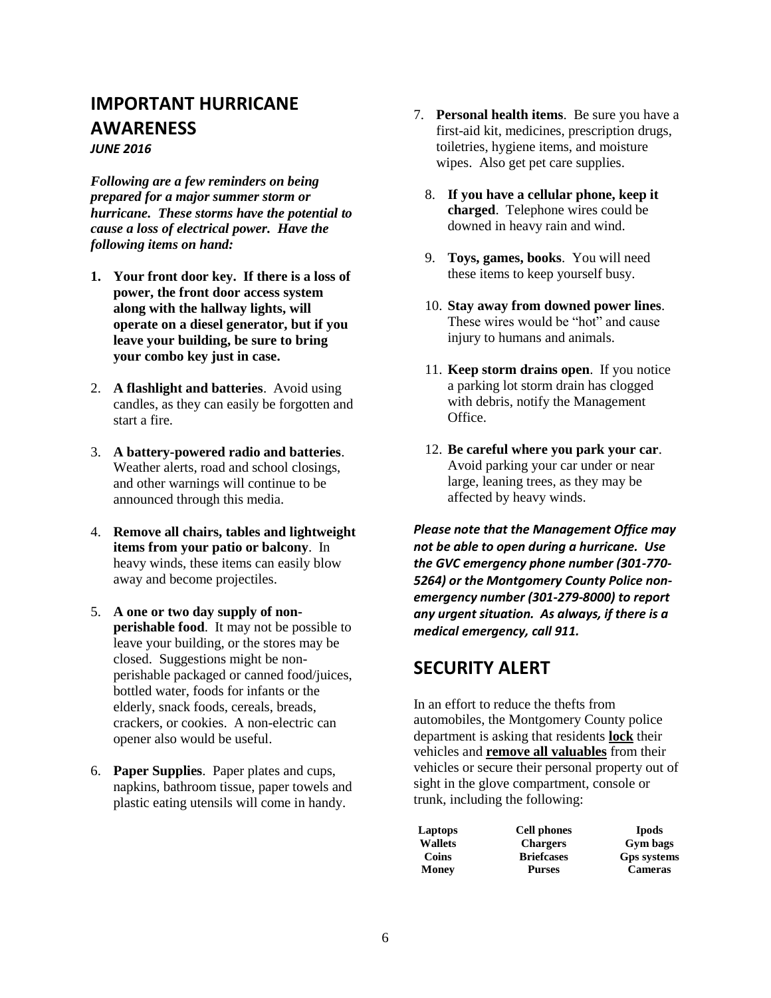# **IMPORTANT HURRICANE AWARENESS**

*JUNE 2016*

*Following are a few reminders on being prepared for a major summer storm or hurricane. These storms have the potential to cause a loss of electrical power. Have the following items on hand:*

- **1. Your front door key. If there is a loss of power, the front door access system along with the hallway lights, will operate on a diesel generator, but if you leave your building, be sure to bring your combo key just in case.**
- 2. **A flashlight and batteries**. Avoid using candles, as they can easily be forgotten and start a fire.
- 3. **A battery-powered radio and batteries**. Weather alerts, road and school closings, and other warnings will continue to be announced through this media.
- 4. **Remove all chairs, tables and lightweight items from your patio or balcony**. In heavy winds, these items can easily blow away and become projectiles.
- 5. **A one or two day supply of nonperishable food**. It may not be possible to leave your building, or the stores may be closed. Suggestions might be nonperishable packaged or canned food/juices, bottled water, foods for infants or the elderly, snack foods, cereals, breads, crackers, or cookies. A non-electric can opener also would be useful.
- 6. **Paper Supplies**. Paper plates and cups, napkins, bathroom tissue, paper towels and plastic eating utensils will come in handy.
- 7. **Personal health items**. Be sure you have a first-aid kit, medicines, prescription drugs, toiletries, hygiene items, and moisture wipes. Also get pet care supplies.
	- 8. **If you have a cellular phone, keep it charged**. Telephone wires could be downed in heavy rain and wind.
	- 9. **Toys, games, books**. You will need these items to keep yourself busy.
	- 10. **Stay away from downed power lines**. These wires would be "hot" and cause injury to humans and animals.
	- 11. **Keep storm drains open**. If you notice a parking lot storm drain has clogged with debris, notify the Management Office.
	- 12. **Be careful where you park your car**. Avoid parking your car under or near large, leaning trees, as they may be affected by heavy winds.

*Please note that the Management Office may not be able to open during a hurricane. Use the GVC emergency phone number (301-770- 5264) or the Montgomery County Police nonemergency number (301-279-8000) to report any urgent situation. As always, if there is a medical emergency, call 911.*

## **SECURITY ALERT**

In an effort to reduce the thefts from automobiles, the Montgomery County police department is asking that residents **lock** their vehicles and **remove all valuables** from their vehicles or secure their personal property out of sight in the glove compartment, console or trunk, including the following:

| Laptops        | <b>Cell phones</b> | <b>I</b> pods      |
|----------------|--------------------|--------------------|
| <b>Wallets</b> | <b>Chargers</b>    | Gym bags           |
| Coins          | <b>Briefcases</b>  | <b>Gps systems</b> |
| Money          | <b>Purses</b>      | <b>Cameras</b>     |